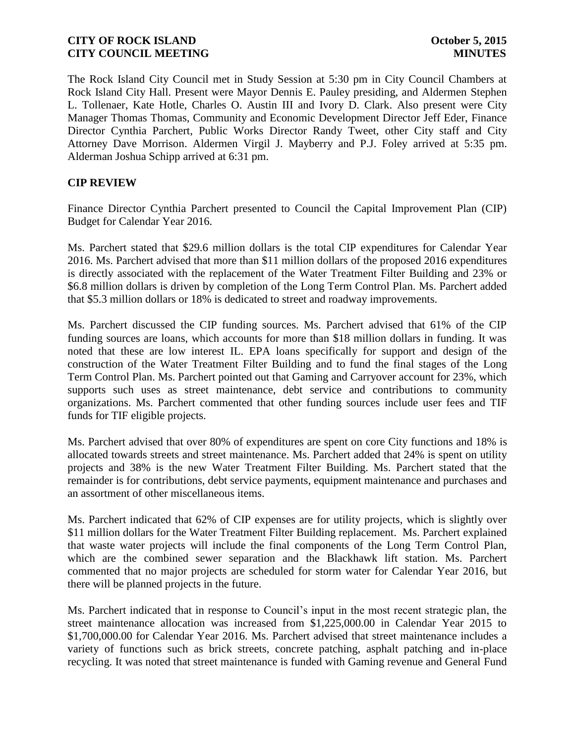The Rock Island City Council met in Study Session at 5:30 pm in City Council Chambers at Rock Island City Hall. Present were Mayor Dennis E. Pauley presiding, and Aldermen Stephen L. Tollenaer, Kate Hotle, Charles O. Austin III and Ivory D. Clark. Also present were City Manager Thomas Thomas, Community and Economic Development Director Jeff Eder, Finance Director Cynthia Parchert, Public Works Director Randy Tweet, other City staff and City Attorney Dave Morrison. Aldermen Virgil J. Mayberry and P.J. Foley arrived at 5:35 pm. Alderman Joshua Schipp arrived at 6:31 pm.

### **CIP REVIEW**

Finance Director Cynthia Parchert presented to Council the Capital Improvement Plan (CIP) Budget for Calendar Year 2016.

Ms. Parchert stated that \$29.6 million dollars is the total CIP expenditures for Calendar Year 2016. Ms. Parchert advised that more than \$11 million dollars of the proposed 2016 expenditures is directly associated with the replacement of the Water Treatment Filter Building and 23% or \$6.8 million dollars is driven by completion of the Long Term Control Plan. Ms. Parchert added that \$5.3 million dollars or 18% is dedicated to street and roadway improvements.

Ms. Parchert discussed the CIP funding sources. Ms. Parchert advised that 61% of the CIP funding sources are loans, which accounts for more than \$18 million dollars in funding. It was noted that these are low interest IL. EPA loans specifically for support and design of the construction of the Water Treatment Filter Building and to fund the final stages of the Long Term Control Plan. Ms. Parchert pointed out that Gaming and Carryover account for 23%, which supports such uses as street maintenance, debt service and contributions to community organizations. Ms. Parchert commented that other funding sources include user fees and TIF funds for TIF eligible projects.

Ms. Parchert advised that over 80% of expenditures are spent on core City functions and 18% is allocated towards streets and street maintenance. Ms. Parchert added that 24% is spent on utility projects and 38% is the new Water Treatment Filter Building. Ms. Parchert stated that the remainder is for contributions, debt service payments, equipment maintenance and purchases and an assortment of other miscellaneous items.

Ms. Parchert indicated that 62% of CIP expenses are for utility projects, which is slightly over \$11 million dollars for the Water Treatment Filter Building replacement. Ms. Parchert explained that waste water projects will include the final components of the Long Term Control Plan, which are the combined sewer separation and the Blackhawk lift station. Ms. Parchert commented that no major projects are scheduled for storm water for Calendar Year 2016, but there will be planned projects in the future.

Ms. Parchert indicated that in response to Council's input in the most recent strategic plan, the street maintenance allocation was increased from \$1,225,000.00 in Calendar Year 2015 to \$1,700,000.00 for Calendar Year 2016. Ms. Parchert advised that street maintenance includes a variety of functions such as brick streets, concrete patching, asphalt patching and in-place recycling. It was noted that street maintenance is funded with Gaming revenue and General Fund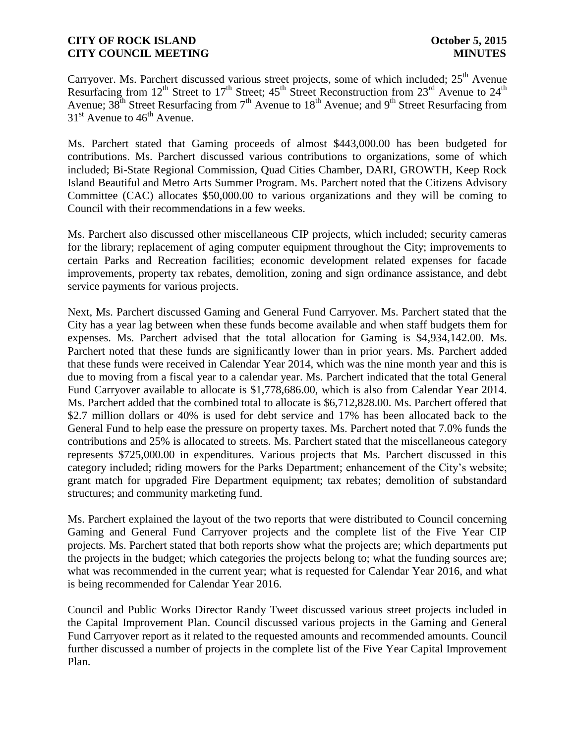Carryover. Ms. Parchert discussed various street projects, some of which included; 25<sup>th</sup> Avenue Resurfacing from  $12^{th}$  Street to  $17^{th}$  Street;  $45^{th}$  Street Reconstruction from  $23^{rd}$  Avenue to  $24^{th}$ Avenue;  $38^{th}$  Street Resurfacing from  $7^{th}$  Avenue to  $18^{th}$  Avenue; and  $9^{th}$  Street Resurfacing from  $31<sup>st</sup>$  Avenue to  $46<sup>th</sup>$  Avenue.

Ms. Parchert stated that Gaming proceeds of almost \$443,000.00 has been budgeted for contributions. Ms. Parchert discussed various contributions to organizations, some of which included; Bi-State Regional Commission, Quad Cities Chamber, DARI, GROWTH, Keep Rock Island Beautiful and Metro Arts Summer Program. Ms. Parchert noted that the Citizens Advisory Committee (CAC) allocates \$50,000.00 to various organizations and they will be coming to Council with their recommendations in a few weeks.

Ms. Parchert also discussed other miscellaneous CIP projects, which included; security cameras for the library; replacement of aging computer equipment throughout the City; improvements to certain Parks and Recreation facilities; economic development related expenses for facade improvements, property tax rebates, demolition, zoning and sign ordinance assistance, and debt service payments for various projects.

Next, Ms. Parchert discussed Gaming and General Fund Carryover. Ms. Parchert stated that the City has a year lag between when these funds become available and when staff budgets them for expenses. Ms. Parchert advised that the total allocation for Gaming is \$4,934,142.00. Ms. Parchert noted that these funds are significantly lower than in prior years. Ms. Parchert added that these funds were received in Calendar Year 2014, which was the nine month year and this is due to moving from a fiscal year to a calendar year. Ms. Parchert indicated that the total General Fund Carryover available to allocate is \$1,778,686.00, which is also from Calendar Year 2014. Ms. Parchert added that the combined total to allocate is \$6,712,828.00. Ms. Parchert offered that \$2.7 million dollars or 40% is used for debt service and 17% has been allocated back to the General Fund to help ease the pressure on property taxes. Ms. Parchert noted that 7.0% funds the contributions and 25% is allocated to streets. Ms. Parchert stated that the miscellaneous category represents \$725,000.00 in expenditures. Various projects that Ms. Parchert discussed in this category included; riding mowers for the Parks Department; enhancement of the City's website; grant match for upgraded Fire Department equipment; tax rebates; demolition of substandard structures; and community marketing fund.

Ms. Parchert explained the layout of the two reports that were distributed to Council concerning Gaming and General Fund Carryover projects and the complete list of the Five Year CIP projects. Ms. Parchert stated that both reports show what the projects are; which departments put the projects in the budget; which categories the projects belong to; what the funding sources are; what was recommended in the current year; what is requested for Calendar Year 2016, and what is being recommended for Calendar Year 2016.

Council and Public Works Director Randy Tweet discussed various street projects included in the Capital Improvement Plan. Council discussed various projects in the Gaming and General Fund Carryover report as it related to the requested amounts and recommended amounts. Council further discussed a number of projects in the complete list of the Five Year Capital Improvement Plan.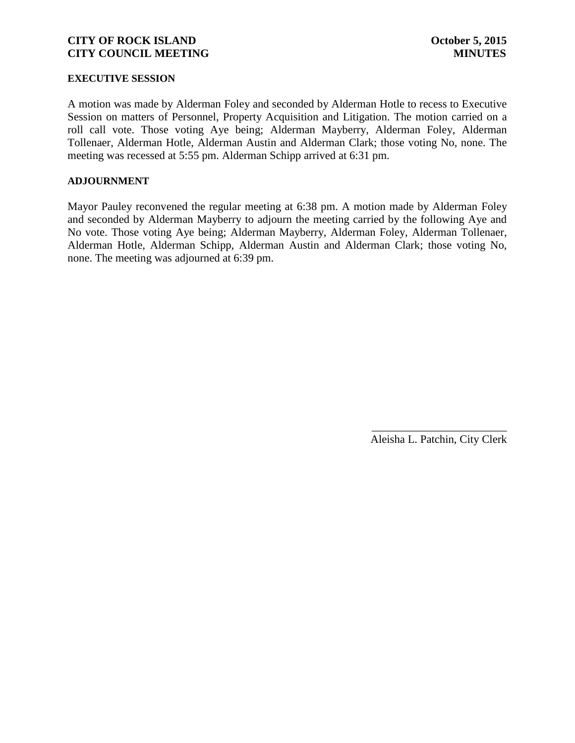#### **EXECUTIVE SESSION**

A motion was made by Alderman Foley and seconded by Alderman Hotle to recess to Executive Session on matters of Personnel, Property Acquisition and Litigation. The motion carried on a roll call vote. Those voting Aye being; Alderman Mayberry, Alderman Foley, Alderman Tollenaer, Alderman Hotle, Alderman Austin and Alderman Clark; those voting No, none. The meeting was recessed at 5:55 pm. Alderman Schipp arrived at 6:31 pm.

#### **ADJOURNMENT**

Mayor Pauley reconvened the regular meeting at 6:38 pm. A motion made by Alderman Foley and seconded by Alderman Mayberry to adjourn the meeting carried by the following Aye and No vote. Those voting Aye being; Alderman Mayberry, Alderman Foley, Alderman Tollenaer, Alderman Hotle, Alderman Schipp, Alderman Austin and Alderman Clark; those voting No, none. The meeting was adjourned at 6:39 pm.

> \_\_\_\_\_\_\_\_\_\_\_\_\_\_\_\_\_\_\_\_\_\_\_\_ Aleisha L. Patchin, City Clerk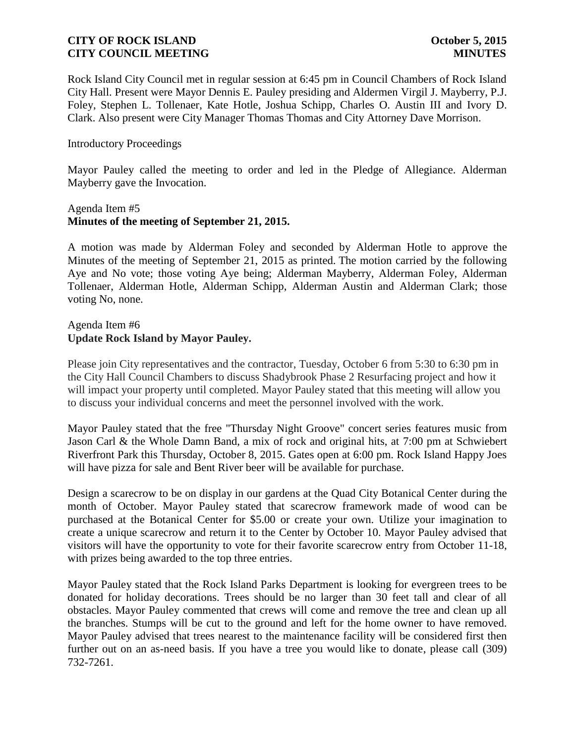Rock Island City Council met in regular session at 6:45 pm in Council Chambers of Rock Island City Hall. Present were Mayor Dennis E. Pauley presiding and Aldermen Virgil J. Mayberry, P.J. Foley, Stephen L. Tollenaer, Kate Hotle, Joshua Schipp, Charles O. Austin III and Ivory D. Clark. Also present were City Manager Thomas Thomas and City Attorney Dave Morrison.

### Introductory Proceedings

Mayor Pauley called the meeting to order and led in the Pledge of Allegiance. Alderman Mayberry gave the Invocation.

### Agenda Item #5 **Minutes of the meeting of September 21, 2015.**

A motion was made by Alderman Foley and seconded by Alderman Hotle to approve the Minutes of the meeting of September 21, 2015 as printed. The motion carried by the following Aye and No vote; those voting Aye being; Alderman Mayberry, Alderman Foley, Alderman Tollenaer, Alderman Hotle, Alderman Schipp, Alderman Austin and Alderman Clark; those voting No, none.

### Agenda Item #6 **Update Rock Island by Mayor Pauley.**

Please join City representatives and the contractor, Tuesday, October 6 from 5:30 to 6:30 pm in the City Hall Council Chambers to discuss Shadybrook Phase 2 Resurfacing project and how it will impact your property until completed. Mayor Pauley stated that this meeting will allow you to discuss your individual concerns and meet the personnel involved with the work.

Mayor Pauley stated that the free "Thursday Night Groove" concert series features music from Jason Carl & the Whole Damn Band, a mix of rock and original hits, at 7:00 pm at Schwiebert Riverfront Park this Thursday, October 8, 2015. Gates open at 6:00 pm. Rock Island Happy Joes will have pizza for sale and Bent River beer will be available for purchase.

Design a scarecrow to be on display in our gardens at the Quad City Botanical Center during the month of October. Mayor Pauley stated that scarecrow framework made of wood can be purchased at the Botanical Center for \$5.00 or create your own. Utilize your imagination to create a unique scarecrow and return it to the Center by October 10. Mayor Pauley advised that visitors will have the opportunity to vote for their favorite scarecrow entry from October 11-18, with prizes being awarded to the top three entries.

Mayor Pauley stated that the Rock Island Parks Department is looking for evergreen trees to be donated for holiday decorations. Trees should be no larger than 30 feet tall and clear of all obstacles. Mayor Pauley commented that crews will come and remove the tree and clean up all the branches. Stumps will be cut to the ground and left for the home owner to have removed. Mayor Pauley advised that trees nearest to the maintenance facility will be considered first then further out on an as-need basis. If you have a tree you would like to donate, please call (309) 732-7261.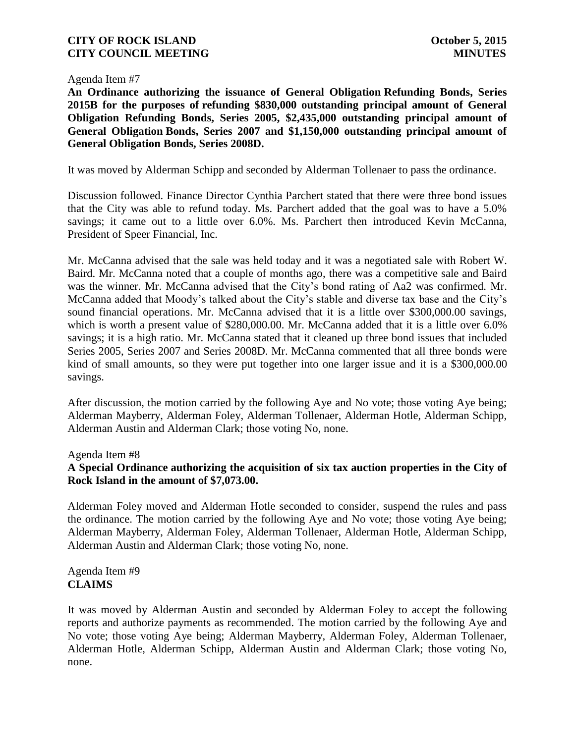Agenda Item #7

**An Ordinance authorizing the issuance of General Obligation Refunding Bonds, Series 2015B for the purposes of refunding \$830,000 outstanding principal amount of General Obligation Refunding Bonds, Series 2005, \$2,435,000 outstanding principal amount of General Obligation Bonds, Series 2007 and \$1,150,000 outstanding principal amount of General Obligation Bonds, Series 2008D.**

It was moved by Alderman Schipp and seconded by Alderman Tollenaer to pass the ordinance.

Discussion followed. Finance Director Cynthia Parchert stated that there were three bond issues that the City was able to refund today. Ms. Parchert added that the goal was to have a 5.0% savings; it came out to a little over 6.0%. Ms. Parchert then introduced Kevin McCanna, President of Speer Financial, Inc.

Mr. McCanna advised that the sale was held today and it was a negotiated sale with Robert W. Baird. Mr. McCanna noted that a couple of months ago, there was a competitive sale and Baird was the winner. Mr. McCanna advised that the City's bond rating of Aa2 was confirmed. Mr. McCanna added that Moody's talked about the City's stable and diverse tax base and the City's sound financial operations. Mr. McCanna advised that it is a little over \$300,000.00 savings, which is worth a present value of \$280,000.00. Mr. McCanna added that it is a little over 6.0% savings; it is a high ratio. Mr. McCanna stated that it cleaned up three bond issues that included Series 2005, Series 2007 and Series 2008D. Mr. McCanna commented that all three bonds were kind of small amounts, so they were put together into one larger issue and it is a \$300,000.00 savings.

After discussion, the motion carried by the following Aye and No vote; those voting Aye being; Alderman Mayberry, Alderman Foley, Alderman Tollenaer, Alderman Hotle, Alderman Schipp, Alderman Austin and Alderman Clark; those voting No, none.

Agenda Item #8

## **A Special Ordinance authorizing the acquisition of six tax auction properties in the City of Rock Island in the amount of \$7,073.00.**

Alderman Foley moved and Alderman Hotle seconded to consider, suspend the rules and pass the ordinance. The motion carried by the following Aye and No vote; those voting Aye being; Alderman Mayberry, Alderman Foley, Alderman Tollenaer, Alderman Hotle, Alderman Schipp, Alderman Austin and Alderman Clark; those voting No, none.

Agenda Item #9 **CLAIMS**

It was moved by Alderman Austin and seconded by Alderman Foley to accept the following reports and authorize payments as recommended. The motion carried by the following Aye and No vote; those voting Aye being; Alderman Mayberry, Alderman Foley, Alderman Tollenaer, Alderman Hotle, Alderman Schipp, Alderman Austin and Alderman Clark; those voting No, none.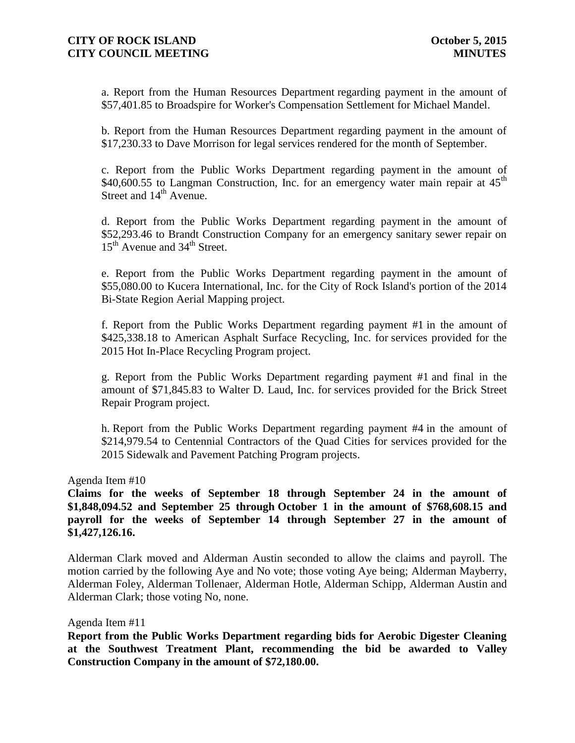a. Report from the Human Resources Department regarding payment in the amount of \$57,401.85 to Broadspire for Worker's Compensation Settlement for Michael Mandel.

b. Report from the Human Resources Department regarding payment in the amount of \$17,230.33 to Dave Morrison for legal services rendered for the month of September.

c. Report from the Public Works Department regarding payment in the amount of \$40,600.55 to Langman Construction. Inc. for an emergency water main repair at  $45<sup>th</sup>$ Street and  $14<sup>th</sup>$  Avenue.

d. Report from the Public Works Department regarding payment in the amount of \$52,293.46 to Brandt Construction Company for an emergency sanitary sewer repair on 15<sup>th</sup> Avenue and 34<sup>th</sup> Street.

e. Report from the Public Works Department regarding payment in the amount of \$55,080.00 to Kucera International, Inc. for the City of Rock Island's portion of the 2014 Bi-State Region Aerial Mapping project.

f. Report from the Public Works Department regarding payment #1 in the amount of \$425,338.18 to American Asphalt Surface Recycling, Inc. for services provided for the 2015 Hot In-Place Recycling Program project.

g. Report from the Public Works Department regarding payment #1 and final in the amount of \$71,845.83 to Walter D. Laud, Inc. for services provided for the Brick Street Repair Program project.

h. Report from the Public Works Department regarding payment #4 in the amount of \$214,979.54 to Centennial Contractors of the Quad Cities for services provided for the 2015 Sidewalk and Pavement Patching Program projects.

#### Agenda Item #10

**Claims for the weeks of September 18 through September 24 in the amount of \$1,848,094.52 and September 25 through October 1 in the amount of \$768,608.15 and payroll for the weeks of September 14 through September 27 in the amount of \$1,427,126.16.**

Alderman Clark moved and Alderman Austin seconded to allow the claims and payroll. The motion carried by the following Aye and No vote; those voting Aye being; Alderman Mayberry, Alderman Foley, Alderman Tollenaer, Alderman Hotle, Alderman Schipp, Alderman Austin and Alderman Clark; those voting No, none.

#### Agenda Item #11

**Report from the Public Works Department regarding bids for Aerobic Digester Cleaning at the Southwest Treatment Plant, recommending the bid be awarded to Valley Construction Company in the amount of \$72,180.00.**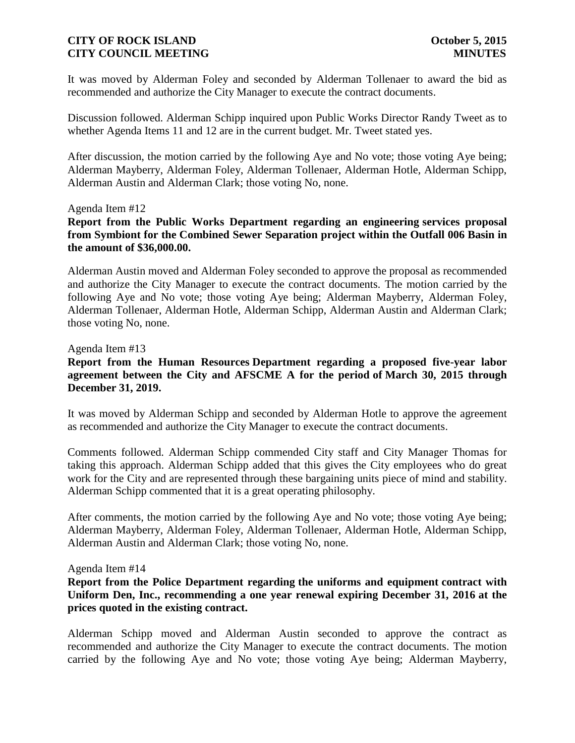It was moved by Alderman Foley and seconded by Alderman Tollenaer to award the bid as recommended and authorize the City Manager to execute the contract documents.

Discussion followed. Alderman Schipp inquired upon Public Works Director Randy Tweet as to whether Agenda Items 11 and 12 are in the current budget. Mr. Tweet stated yes.

After discussion, the motion carried by the following Aye and No vote; those voting Aye being; Alderman Mayberry, Alderman Foley, Alderman Tollenaer, Alderman Hotle, Alderman Schipp, Alderman Austin and Alderman Clark; those voting No, none.

#### Agenda Item #12

**Report from the Public Works Department regarding an engineering services proposal from Symbiont for the Combined Sewer Separation project within the Outfall 006 Basin in the amount of \$36,000.00.**

Alderman Austin moved and Alderman Foley seconded to approve the proposal as recommended and authorize the City Manager to execute the contract documents. The motion carried by the following Aye and No vote; those voting Aye being; Alderman Mayberry, Alderman Foley, Alderman Tollenaer, Alderman Hotle, Alderman Schipp, Alderman Austin and Alderman Clark; those voting No, none.

### Agenda Item #13

### **Report from the Human Resources Department regarding a proposed five-year labor agreement between the City and AFSCME A for the period of March 30, 2015 through December 31, 2019.**

It was moved by Alderman Schipp and seconded by Alderman Hotle to approve the agreement as recommended and authorize the City Manager to execute the contract documents.

Comments followed. Alderman Schipp commended City staff and City Manager Thomas for taking this approach. Alderman Schipp added that this gives the City employees who do great work for the City and are represented through these bargaining units piece of mind and stability. Alderman Schipp commented that it is a great operating philosophy.

After comments, the motion carried by the following Aye and No vote; those voting Aye being; Alderman Mayberry, Alderman Foley, Alderman Tollenaer, Alderman Hotle, Alderman Schipp, Alderman Austin and Alderman Clark; those voting No, none.

#### Agenda Item #14

**Report from the Police Department regarding the uniforms and equipment contract with Uniform Den, Inc., recommending a one year renewal expiring December 31, 2016 at the prices quoted in the existing contract.**

Alderman Schipp moved and Alderman Austin seconded to approve the contract as recommended and authorize the City Manager to execute the contract documents. The motion carried by the following Aye and No vote; those voting Aye being; Alderman Mayberry,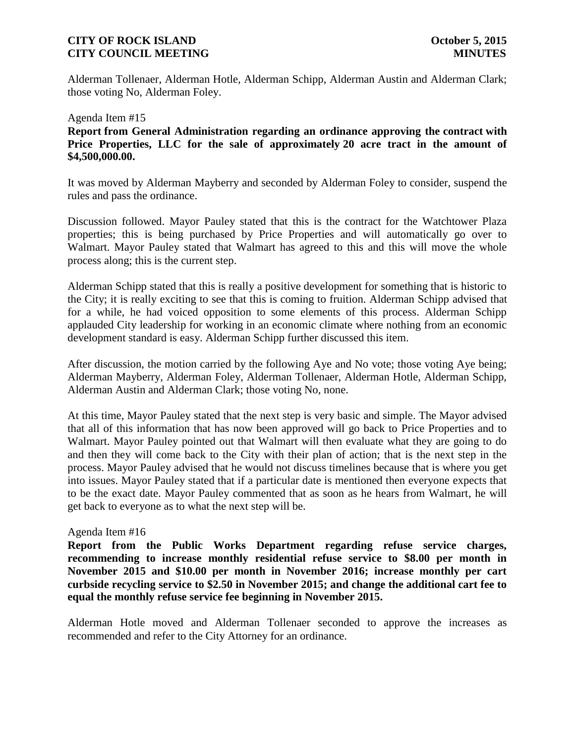Alderman Tollenaer, Alderman Hotle, Alderman Schipp, Alderman Austin and Alderman Clark; those voting No, Alderman Foley.

### Agenda Item #15 **Report from General Administration regarding an ordinance approving the contract with Price Properties, LLC for the sale of approximately 20 acre tract in the amount of \$4,500,000.00.**

It was moved by Alderman Mayberry and seconded by Alderman Foley to consider, suspend the rules and pass the ordinance.

Discussion followed. Mayor Pauley stated that this is the contract for the Watchtower Plaza properties; this is being purchased by Price Properties and will automatically go over to Walmart. Mayor Pauley stated that Walmart has agreed to this and this will move the whole process along; this is the current step.

Alderman Schipp stated that this is really a positive development for something that is historic to the City; it is really exciting to see that this is coming to fruition. Alderman Schipp advised that for a while, he had voiced opposition to some elements of this process. Alderman Schipp applauded City leadership for working in an economic climate where nothing from an economic development standard is easy. Alderman Schipp further discussed this item.

After discussion, the motion carried by the following Aye and No vote; those voting Aye being; Alderman Mayberry, Alderman Foley, Alderman Tollenaer, Alderman Hotle, Alderman Schipp, Alderman Austin and Alderman Clark; those voting No, none.

At this time, Mayor Pauley stated that the next step is very basic and simple. The Mayor advised that all of this information that has now been approved will go back to Price Properties and to Walmart. Mayor Pauley pointed out that Walmart will then evaluate what they are going to do and then they will come back to the City with their plan of action; that is the next step in the process. Mayor Pauley advised that he would not discuss timelines because that is where you get into issues. Mayor Pauley stated that if a particular date is mentioned then everyone expects that to be the exact date. Mayor Pauley commented that as soon as he hears from Walmart, he will get back to everyone as to what the next step will be.

### Agenda Item #16

**Report from the Public Works Department regarding refuse service charges, recommending to increase monthly residential refuse service to \$8.00 per month in November 2015 and \$10.00 per month in November 2016; increase monthly per cart curbside recycling service to \$2.50 in November 2015; and change the additional cart fee to equal the monthly refuse service fee beginning in November 2015.**

Alderman Hotle moved and Alderman Tollenaer seconded to approve the increases as recommended and refer to the City Attorney for an ordinance.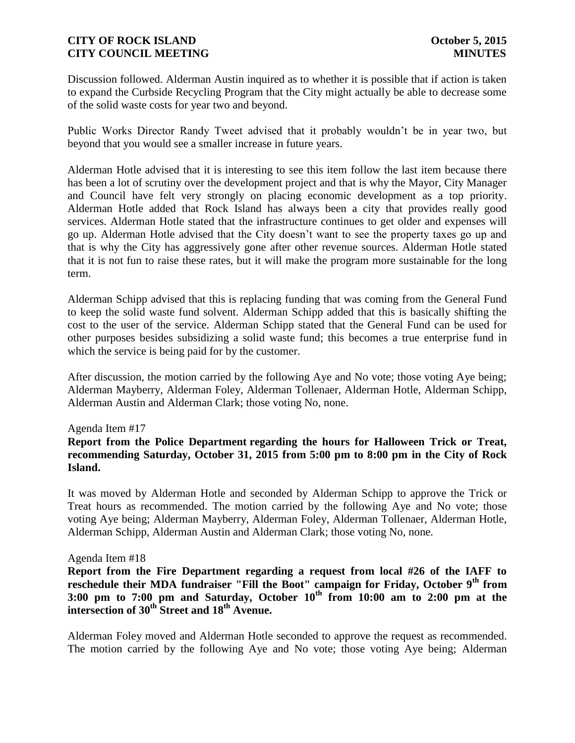Discussion followed. Alderman Austin inquired as to whether it is possible that if action is taken to expand the Curbside Recycling Program that the City might actually be able to decrease some of the solid waste costs for year two and beyond.

Public Works Director Randy Tweet advised that it probably wouldn't be in year two, but beyond that you would see a smaller increase in future years.

Alderman Hotle advised that it is interesting to see this item follow the last item because there has been a lot of scrutiny over the development project and that is why the Mayor, City Manager and Council have felt very strongly on placing economic development as a top priority. Alderman Hotle added that Rock Island has always been a city that provides really good services. Alderman Hotle stated that the infrastructure continues to get older and expenses will go up. Alderman Hotle advised that the City doesn't want to see the property taxes go up and that is why the City has aggressively gone after other revenue sources. Alderman Hotle stated that it is not fun to raise these rates, but it will make the program more sustainable for the long term.

Alderman Schipp advised that this is replacing funding that was coming from the General Fund to keep the solid waste fund solvent. Alderman Schipp added that this is basically shifting the cost to the user of the service. Alderman Schipp stated that the General Fund can be used for other purposes besides subsidizing a solid waste fund; this becomes a true enterprise fund in which the service is being paid for by the customer.

After discussion, the motion carried by the following Aye and No vote; those voting Aye being; Alderman Mayberry, Alderman Foley, Alderman Tollenaer, Alderman Hotle, Alderman Schipp, Alderman Austin and Alderman Clark; those voting No, none.

### Agenda Item #17

**Report from the Police Department regarding the hours for Halloween Trick or Treat, recommending Saturday, October 31, 2015 from 5:00 pm to 8:00 pm in the City of Rock Island.**

It was moved by Alderman Hotle and seconded by Alderman Schipp to approve the Trick or Treat hours as recommended. The motion carried by the following Aye and No vote; those voting Aye being; Alderman Mayberry, Alderman Foley, Alderman Tollenaer, Alderman Hotle, Alderman Schipp, Alderman Austin and Alderman Clark; those voting No, none.

#### Agenda Item #18

**Report from the Fire Department regarding a request from local #26 of the IAFF to reschedule their MDA fundraiser "Fill the Boot" campaign for Friday, October 9th from 3:00 pm to 7:00 pm and Saturday, October 10th from 10:00 am to 2:00 pm at the intersection of 30th Street and 18th Avenue.**

Alderman Foley moved and Alderman Hotle seconded to approve the request as recommended. The motion carried by the following Aye and No vote; those voting Aye being; Alderman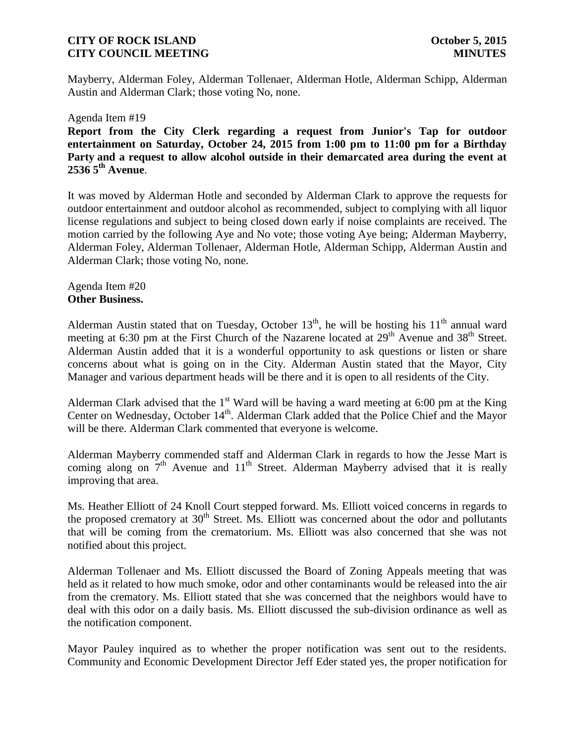Mayberry, Alderman Foley, Alderman Tollenaer, Alderman Hotle, Alderman Schipp, Alderman Austin and Alderman Clark; those voting No, none.

#### Agenda Item #19

**Report from the City Clerk regarding a request from Junior's Tap for outdoor entertainment on Saturday, October 24, 2015 from 1:00 pm to 11:00 pm for a Birthday Party and a request to allow alcohol outside in their demarcated area during the event at 2536 5th Avenue**.

It was moved by Alderman Hotle and seconded by Alderman Clark to approve the requests for outdoor entertainment and outdoor alcohol as recommended, subject to complying with all liquor license regulations and subject to being closed down early if noise complaints are received. The motion carried by the following Aye and No vote; those voting Aye being; Alderman Mayberry, Alderman Foley, Alderman Tollenaer, Alderman Hotle, Alderman Schipp, Alderman Austin and Alderman Clark; those voting No, none.

Agenda Item #20 **Other Business.**

Alderman Austin stated that on Tuesday, October  $13<sup>th</sup>$ , he will be hosting his  $11<sup>th</sup>$  annual ward meeting at 6:30 pm at the First Church of the Nazarene located at 29<sup>th</sup> Avenue and 38<sup>th</sup> Street. Alderman Austin added that it is a wonderful opportunity to ask questions or listen or share concerns about what is going on in the City. Alderman Austin stated that the Mayor, City Manager and various department heads will be there and it is open to all residents of the City.

Alderman Clark advised that the  $1<sup>st</sup>$  Ward will be having a ward meeting at 6:00 pm at the King Center on Wednesday, October 14<sup>th</sup>. Alderman Clark added that the Police Chief and the Mayor will be there. Alderman Clark commented that everyone is welcome.

Alderman Mayberry commended staff and Alderman Clark in regards to how the Jesse Mart is coming along on  $7<sup>th</sup>$  Avenue and  $11<sup>th</sup>$  Street. Alderman Mayberry advised that it is really improving that area.

Ms. Heather Elliott of 24 Knoll Court stepped forward. Ms. Elliott voiced concerns in regards to the proposed crematory at  $30<sup>th</sup>$  Street. Ms. Elliott was concerned about the odor and pollutants that will be coming from the crematorium. Ms. Elliott was also concerned that she was not notified about this project.

Alderman Tollenaer and Ms. Elliott discussed the Board of Zoning Appeals meeting that was held as it related to how much smoke, odor and other contaminants would be released into the air from the crematory. Ms. Elliott stated that she was concerned that the neighbors would have to deal with this odor on a daily basis. Ms. Elliott discussed the sub-division ordinance as well as the notification component.

Mayor Pauley inquired as to whether the proper notification was sent out to the residents. Community and Economic Development Director Jeff Eder stated yes, the proper notification for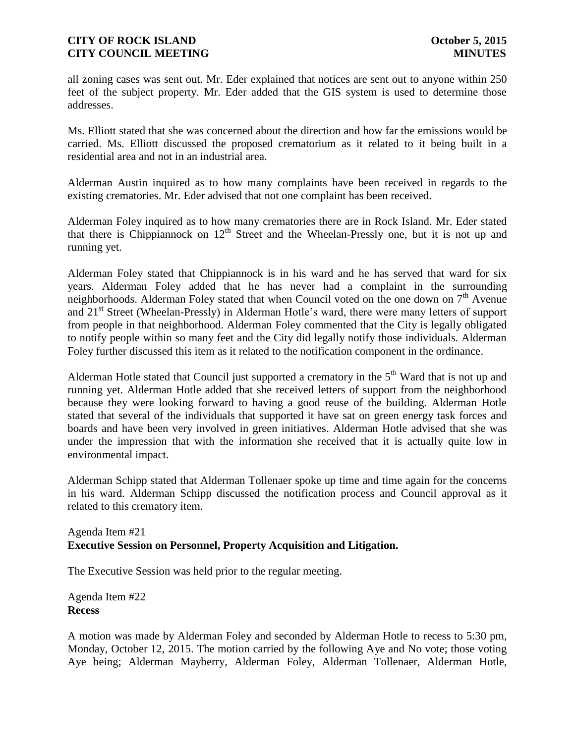all zoning cases was sent out. Mr. Eder explained that notices are sent out to anyone within 250 feet of the subject property. Mr. Eder added that the GIS system is used to determine those addresses.

Ms. Elliott stated that she was concerned about the direction and how far the emissions would be carried. Ms. Elliott discussed the proposed crematorium as it related to it being built in a residential area and not in an industrial area.

Alderman Austin inquired as to how many complaints have been received in regards to the existing crematories. Mr. Eder advised that not one complaint has been received.

Alderman Foley inquired as to how many crematories there are in Rock Island. Mr. Eder stated that there is Chippiannock on  $12<sup>th</sup>$  Street and the Wheelan-Pressly one, but it is not up and running yet.

Alderman Foley stated that Chippiannock is in his ward and he has served that ward for six years. Alderman Foley added that he has never had a complaint in the surrounding neighborhoods. Alderman Foley stated that when Council voted on the one down on  $7<sup>th</sup>$  Avenue and 21<sup>st</sup> Street (Wheelan-Pressly) in Alderman Hotle's ward, there were many letters of support from people in that neighborhood. Alderman Foley commented that the City is legally obligated to notify people within so many feet and the City did legally notify those individuals. Alderman Foley further discussed this item as it related to the notification component in the ordinance.

Alderman Hotle stated that Council just supported a crematory in the  $5<sup>th</sup>$  Ward that is not up and running yet. Alderman Hotle added that she received letters of support from the neighborhood because they were looking forward to having a good reuse of the building. Alderman Hotle stated that several of the individuals that supported it have sat on green energy task forces and boards and have been very involved in green initiatives. Alderman Hotle advised that she was under the impression that with the information she received that it is actually quite low in environmental impact.

Alderman Schipp stated that Alderman Tollenaer spoke up time and time again for the concerns in his ward. Alderman Schipp discussed the notification process and Council approval as it related to this crematory item.

## Agenda Item #21 **Executive Session on Personnel, Property Acquisition and Litigation.**

The Executive Session was held prior to the regular meeting.

Agenda Item #22 **Recess**

A motion was made by Alderman Foley and seconded by Alderman Hotle to recess to 5:30 pm, Monday, October 12, 2015. The motion carried by the following Aye and No vote; those voting Aye being; Alderman Mayberry, Alderman Foley, Alderman Tollenaer, Alderman Hotle,